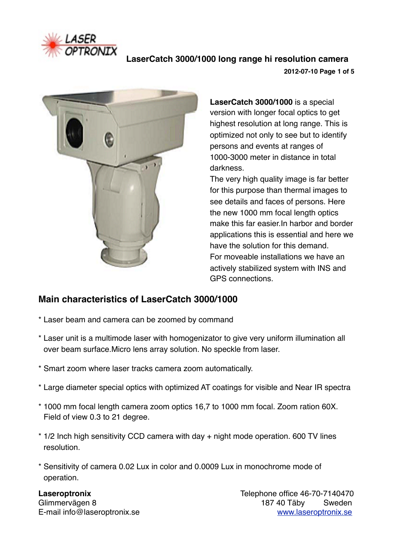

 **LaserCatch 3000/1000 long range hi resolution camera 2012-07-10 Page 1 of 5**



**LaserCatch 3000/1000** is a special version with longer focal optics to get highest resolution at long range. This is optimized not only to see but to identify persons and events at ranges of 1000-3000 meter in distance in total darkness.

The very high quality image is far better for this purpose than thermal images to see details and faces of persons. Here the new 1000 mm focal length optics make this far easier.In harbor and border applications this is essential and here we have the solution for this demand. For moveable installations we have an actively stabilized system with INS and GPS connections.

# **Main characteristics of LaserCatch 3000/1000**

- \* Laser beam and camera can be zoomed by command
- \* Laser unit is a multimode laser with homogenizator to give very uniform illumination all over beam surface.Micro lens array solution. No speckle from laser.
- \* Smart zoom where laser tracks camera zoom automatically.
- \* Large diameter special optics with optimized AT coatings for visible and Near IR spectra
- \* 1000 mm focal length camera zoom optics 16,7 to 1000 mm focal. Zoom ration 60X. Field of view 0.3 to 21 degree.
- \* 1/2 Inch high sensitivity CCD camera with day + night mode operation. 600 TV lines resolution.
- \* Sensitivity of camera 0.02 Lux in color and 0.0009 Lux in monochrome mode of operation.

**Laseroptronix**  $\qquad \qquad$  **12.140470** Glimmervägen 8 187 40 Täby Sweden E-mail info@laseroptronix.se! ! ! [www.laseroptronix.se](http://www.laseroptronix.se)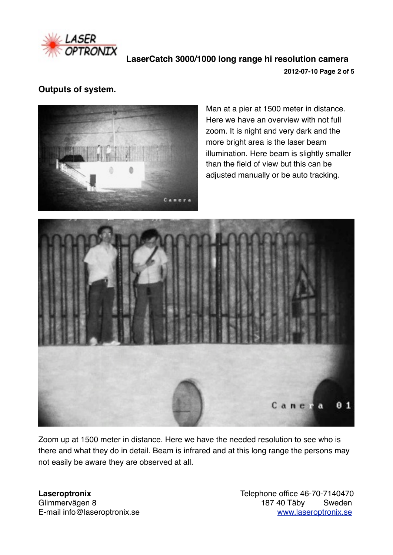

 **LaserCatch 3000/1000 long range hi resolution camera 2012-07-10 Page 2 of 5**

### **Outputs of system.**



Man at a pier at 1500 meter in distance. Here we have an overview with not full zoom. It is night and very dark and the more bright area is the laser beam illumination. Here beam is slightly smaller than the field of view but this can be adjusted manually or be auto tracking.



Zoom up at 1500 meter in distance. Here we have the needed resolution to see who is there and what they do in detail. Beam is infrared and at this long range the persons may not easily be aware they are observed at all.

Glimmervägen 8 187 40 Täby

**Laseroptronix! ! ! !** Telephone office 46-70-7140470 E-mail info@laseroptronix.se! ! ! [www.laseroptronix.se](http://www.laseroptronix.se)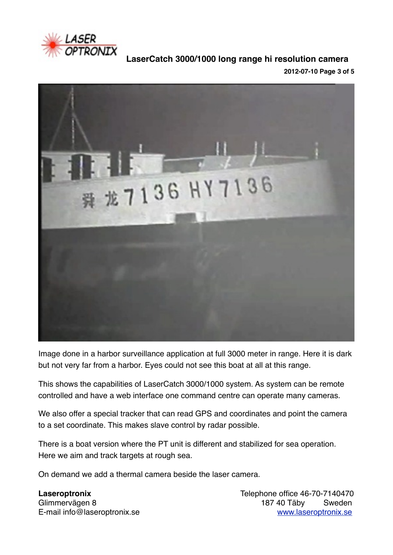

**LaserCatch 3000/1000 long range hi resolution camera**

**2012-07-10 Page 3 of 5**



Image done in a harbor surveillance application at full 3000 meter in range. Here it is dark but not very far from a harbor. Eyes could not see this boat at all at this range.

This shows the capabilities of LaserCatch 3000/1000 system. As system can be remote controlled and have a web interface one command centre can operate many cameras.

We also offer a special tracker that can read GPS and coordinates and point the camera to a set coordinate. This makes slave control by radar possible.

There is a boat version where the PT unit is different and stabilized for sea operation. Here we aim and track targets at rough sea.

On demand we add a thermal camera beside the laser camera.

**Laseroptronix**  $\qquad \qquad$  **12.140470** Glimmervägen 8 187 40 Täby Sweden E-mail info@laseroptronix.se! ! ! [www.laseroptronix.se](http://www.laseroptronix.se)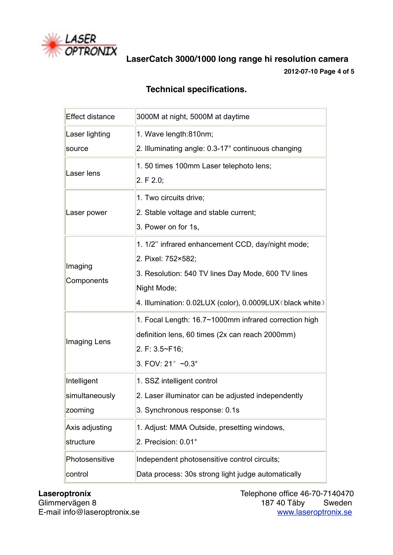

**LaserCatch 3000/1000 long range hi resolution camera**

**2012-07-10 Page 4 of 5**

# **Technical specifications.**

| <b>Effect distance</b> | 3000M at night, 5000M at daytime                          |
|------------------------|-----------------------------------------------------------|
| Laser lighting         | 1. Wave length:810nm;                                     |
| source                 | 2. Illuminating angle: 0.3-17° continuous changing        |
| Laser lens             | 1.50 times 100mm Laser telephoto lens;                    |
|                        | 2. F 2.0;                                                 |
| Laser power            | 1. Two circuits drive;                                    |
|                        | 2. Stable voltage and stable current;                     |
|                        | 3. Power on for 1s,                                       |
| Imaging<br>Components  | 1. 1/2" infrared enhancement CCD, day/night mode;         |
|                        | 2. Pixel: 752×582;                                        |
|                        | 3. Resolution: 540 TV lines Day Mode, 600 TV lines        |
|                        | Night Mode;                                               |
|                        | 4. Illumination: 0.02LUX (color), 0.0009LUX (black white) |
| Imaging Lens           | 1. Focal Length: 16.7~1000mm infrared correction high     |
|                        | definition lens, 60 times (2x can reach 2000mm)           |
|                        | 2. F: 3.5~F16;                                            |
|                        | 3. FOV: 21° ~0.3°                                         |
| Intelligent            | 1. SSZ intelligent control                                |
| simultaneously         | 2. Laser illuminator can be adjusted independently        |
| zooming                | 3. Synchronous response: 0.1s                             |
| Axis adjusting         | 1. Adjust: MMA Outside, presetting windows,               |
| structure              | 2. Precision: 0.01°                                       |
| Photosensitive         | Independent photosensitive control circuits;              |
| control                | Data process: 30s strong light judge automatically        |

E-mail info@laseroptronix.se

**Laseroptronix! ! ! !** Telephone office 46-70-7140470 187 40 Täby Sweden<br>www.laseroptronix.se